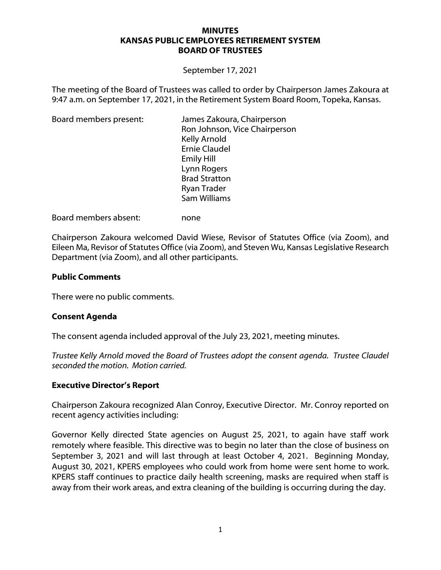#### **MINUTES KANSAS PUBLIC EMPLOYEES RETIREMENT SYSTEM BOARD OF TRUSTEES**

September 17, 2021

The meeting of the Board of Trustees was called to order by Chairperson James Zakoura at 9:47 a.m. on September 17, 2021, in the Retirement System Board Room, Topeka, Kansas.

| Board members present: | James Zakoura, Chairperson    |
|------------------------|-------------------------------|
|                        | Ron Johnson, Vice Chairperson |
|                        | Kelly Arnold                  |
|                        | <b>Ernie Claudel</b>          |
|                        | <b>Emily Hill</b>             |
|                        | Lynn Rogers                   |
|                        | <b>Brad Stratton</b>          |
|                        | <b>Ryan Trader</b>            |
|                        | Sam Williams                  |

Board members absent: none

Chairperson Zakoura welcomed David Wiese, Revisor of Statutes Office (via Zoom), and Eileen Ma, Revisor of Statutes Office (via Zoom), and Steven Wu, Kansas Legislative Research Department (via Zoom), and all other participants.

### **Public Comments**

There were no public comments.

# **Consent Agenda**

The consent agenda included approval of the July 23, 2021, meeting minutes.

*Trustee Kelly Arnold moved the Board of Trustees adopt the consent agenda. Trustee Claudel seconded the motion. Motion carried.*

#### **Executive Director's Report**

Chairperson Zakoura recognized Alan Conroy, Executive Director. Mr. Conroy reported on recent agency activities including:

Governor Kelly directed State agencies on August 25, 2021, to again have staff work remotely where feasible. This directive was to begin no later than the close of business on September 3, 2021 and will last through at least October 4, 2021. Beginning Monday, August 30, 2021, KPERS employees who could work from home were sent home to work. KPERS staff continues to practice daily health screening, masks are required when staff is away from their work areas, and extra cleaning of the building is occurring during the day.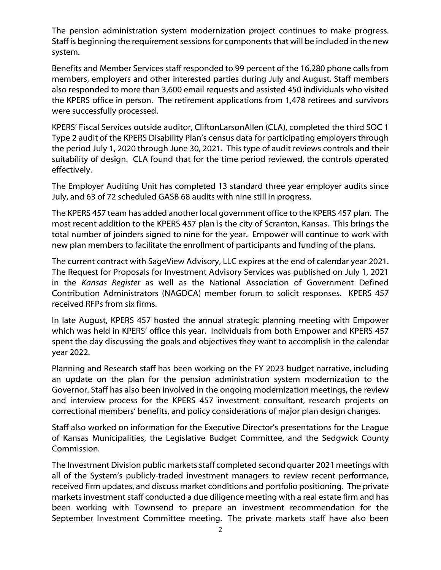The pension administration system modernization project continues to make progress. Staff is beginning the requirement sessions for components that will be included in the new system.

Benefits and Member Services staff responded to 99 percent of the 16,280 phone calls from members, employers and other interested parties during July and August. Staff members also responded to more than 3,600 email requests and assisted 450 individuals who visited the KPERS office in person. The retirement applications from 1,478 retirees and survivors were successfully processed.

KPERS' Fiscal Services outside auditor, CliftonLarsonAllen (CLA), completed the third SOC 1 Type 2 audit of the KPERS Disability Plan's census data for participating employers through the period July 1, 2020 through June 30, 2021. This type of audit reviews controls and their suitability of design. CLA found that for the time period reviewed, the controls operated effectively.

The Employer Auditing Unit has completed 13 standard three year employer audits since July, and 63 of 72 scheduled GASB 68 audits with nine still in progress.

The KPERS 457 team has added another local government office to the KPERS 457 plan. The most recent addition to the KPERS 457 plan is the city of Scranton, Kansas. This brings the total number of joinders signed to nine for the year. Empower will continue to work with new plan members to facilitate the enrollment of participants and funding of the plans.

The current contract with SageView Advisory, LLC expires at the end of calendar year 2021. The Request for Proposals for Investment Advisory Services was published on July 1, 2021 in the *Kansas Register* as well as the National Association of Government Defined Contribution Administrators (NAGDCA) member forum to solicit responses. KPERS 457 received RFPs from six firms.

In late August, KPERS 457 hosted the annual strategic planning meeting with Empower which was held in KPERS' office this year. Individuals from both Empower and KPERS 457 spent the day discussing the goals and objectives they want to accomplish in the calendar year 2022.

Planning and Research staff has been working on the FY 2023 budget narrative, including an update on the plan for the pension administration system modernization to the Governor. Staff has also been involved in the ongoing modernization meetings, the review and interview process for the KPERS 457 investment consultant, research projects on correctional members' benefits, and policy considerations of major plan design changes.

Staff also worked on information for the Executive Director's presentations for the League of Kansas Municipalities, the Legislative Budget Committee, and the Sedgwick County Commission.

The Investment Division public markets staff completed second quarter 2021 meetings with all of the System's publicly-traded investment managers to review recent performance, received firm updates, and discuss market conditions and portfolio positioning. The private markets investment staff conducted a due diligence meeting with a real estate firm and has been working with Townsend to prepare an investment recommendation for the September Investment Committee meeting. The private markets staff have also been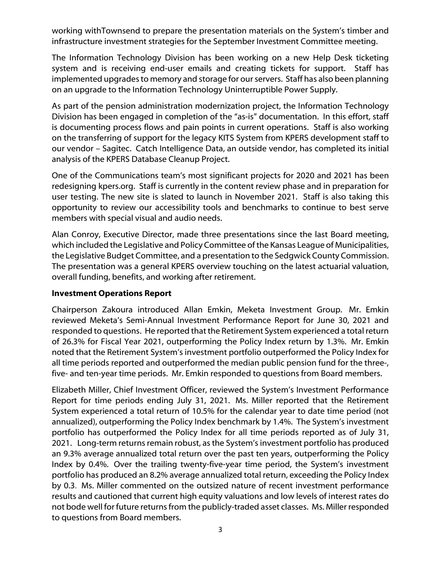working withTownsend to prepare the presentation materials on the System's timber and infrastructure investment strategies for the September Investment Committee meeting.

The Information Technology Division has been working on a new Help Desk ticketing system and is receiving end-user emails and creating tickets for support. Staff has implemented upgrades to memory and storage for our servers. Staff has also been planning on an upgrade to the Information Technology Uninterruptible Power Supply.

As part of the pension administration modernization project, the Information Technology Division has been engaged in completion of the "as-is" documentation. In this effort, staff is documenting process flows and pain points in current operations. Staff is also working on the transferring of support for the legacy KITS System from KPERS development staff to our vendor – Sagitec. Catch Intelligence Data, an outside vendor, has completed its initial analysis of the KPERS Database Cleanup Project.

One of the Communications team's most significant projects for 2020 and 2021 has been redesigning kpers.org. Staff is currently in the content review phase and in preparation for user testing. The new site is slated to launch in November 2021. Staff is also taking this opportunity to review our accessibility tools and benchmarks to continue to best serve members with special visual and audio needs.

Alan Conroy, Executive Director, made three presentations since the last Board meeting, which included the Legislative and Policy Committee of the Kansas League of Municipalities, the Legislative Budget Committee, and a presentation to the Sedgwick County Commission. The presentation was a general KPERS overview touching on the latest actuarial valuation, overall funding, benefits, and working after retirement.

# **Investment Operations Report**

Chairperson Zakoura introduced Allan Emkin, Meketa Investment Group. Mr. Emkin reviewed Meketa's Semi-Annual Investment Performance Report for June 30, 2021 and responded to questions. He reported that the Retirement System experienced a total return of 26.3% for Fiscal Year 2021, outperforming the Policy Index return by 1.3%. Mr. Emkin noted that the Retirement System's investment portfolio outperformed the Policy Index for all time periods reported and outperformed the median public pension fund for the three-, five- and ten-year time periods. Mr. Emkin responded to questions from Board members.

Elizabeth Miller, Chief Investment Officer, reviewed the System's Investment Performance Report for time periods ending July 31, 2021. Ms. Miller reported that the Retirement System experienced a total return of 10.5% for the calendar year to date time period (not annualized), outperforming the Policy Index benchmark by 1.4%. The System's investment portfolio has outperformed the Policy Index for all time periods reported as of July 31, 2021. Long-term returns remain robust, as the System's investment portfolio has produced an 9.3% average annualized total return over the past ten years, outperforming the Policy Index by 0.4%. Over the trailing twenty-five-year time period, the System's investment portfolio has produced an 8.2% average annualized total return, exceeding the Policy Index by 0.3. Ms. Miller commented on the outsized nature of recent investment performance results and cautioned that current high equity valuations and low levels of interest rates do not bode well for future returns from the publicly-traded asset classes. Ms. Miller responded to questions from Board members.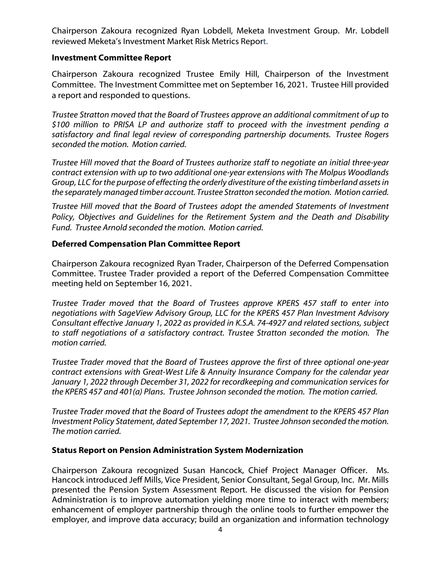Chairperson Zakoura recognized Ryan Lobdell, Meketa Investment Group. Mr. Lobdell reviewed Meketa's Investment Market Risk Metrics Report.

# **Investment Committee Report**

Chairperson Zakoura recognized Trustee Emily Hill, Chairperson of the Investment Committee. The Investment Committee met on September 16, 2021. Trustee Hill provided a report and responded to questions.

*Trustee Stratton moved that the Board of Trustees approve an additional commitment of up to \$100 million to PRISA LP and authorize staff to proceed with the investment pending a satisfactory and final legal review of corresponding partnership documents. Trustee Rogers seconded the motion. Motion carried.*

*Trustee Hill moved that the Board of Trustees authorize staff to negotiate an initial three-year contract extension with up to two additional one-year extensions with The Molpus Woodlands Group, LLC for the purpose of effecting the orderly divestiture of the existing timberland assets in the separately managed timber account. Trustee Stratton seconded the motion. Motion carried.*

*Trustee Hill moved that the Board of Trustees adopt the amended Statements of Investment Policy, Objectives and Guidelines for the Retirement System and the Death and Disability Fund. Trustee Arnold seconded the motion. Motion carried.*

# **Deferred Compensation Plan Committee Report**

Chairperson Zakoura recognized Ryan Trader, Chairperson of the Deferred Compensation Committee. Trustee Trader provided a report of the Deferred Compensation Committee meeting held on September 16, 2021.

*Trustee Trader moved that the Board of Trustees approve KPERS 457 staff to enter into negotiations with SageView Advisory Group, LLC for the KPERS 457 Plan Investment Advisory Consultant effective January 1, 2022 as provided in K.S.A. 74-4927 and related sections, subject to staff negotiations of a satisfactory contract. Trustee Stratton seconded the motion. The motion carried.* 

*Trustee Trader moved that the Board of Trustees approve the first of three optional one-year contract extensions with Great-West Life & Annuity Insurance Company for the calendar year January 1, 2022 through December 31, 2022 for recordkeeping and communication services for the KPERS 457 and 401(a) Plans. Trustee Johnson seconded the motion. The motion carried.* 

*Trustee Trader moved that the Board of Trustees adopt the amendment to the KPERS 457 Plan Investment Policy Statement, dated September 17, 2021. Trustee Johnson seconded the motion. The motion carried.* 

#### **Status Report on Pension Administration System Modernization**

Chairperson Zakoura recognized Susan Hancock, Chief Project Manager Officer. Ms. Hancock introduced Jeff Mills, Vice President, Senior Consultant, Segal Group, Inc. Mr. Mills presented the Pension System Assessment Report. He discussed the vision for Pension Administration is to improve automation yielding more time to interact with members; enhancement of employer partnership through the online tools to further empower the employer, and improve data accuracy; build an organization and information technology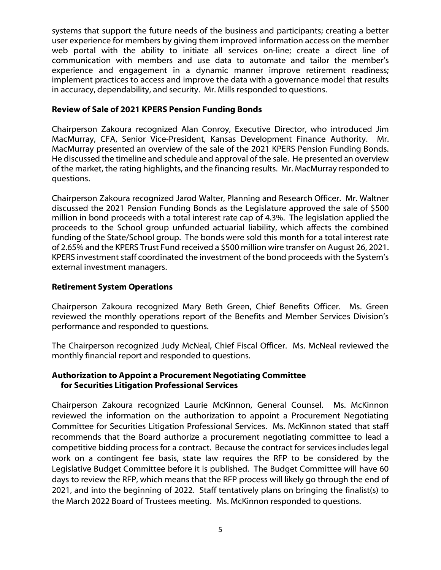systems that support the future needs of the business and participants; creating a better user experience for members by giving them improved information access on the member web portal with the ability to initiate all services on-line; create a direct line of communication with members and use data to automate and tailor the member's experience and engagement in a dynamic manner improve retirement readiness; implement practices to access and improve the data with a governance model that results in accuracy, dependability, and security. Mr. Mills responded to questions.

# **Review of Sale of 2021 KPERS Pension Funding Bonds**

Chairperson Zakoura recognized Alan Conroy, Executive Director, who introduced Jim MacMurray, CFA, Senior Vice-President, Kansas Development Finance Authority. Mr. MacMurray presented an overview of the sale of the 2021 KPERS Pension Funding Bonds. He discussed the timeline and schedule and approval of the sale. He presented an overview of the market, the rating highlights, and the financing results. Mr. MacMurray responded to questions.

Chairperson Zakoura recognized Jarod Walter, Planning and Research Officer. Mr. Waltner discussed the 2021 Pension Funding Bonds as the Legislature approved the sale of \$500 million in bond proceeds with a total interest rate cap of 4.3%. The legislation applied the proceeds to the School group unfunded actuarial liability, which affects the combined funding of the State/School group. The bonds were sold this month for a total interest rate of 2.65% and the KPERS Trust Fund received a \$500 million wire transfer on August 26, 2021. KPERS investment staff coordinated the investment of the bond proceeds with the System's external investment managers.

## **Retirement System Operations**

Chairperson Zakoura recognized Mary Beth Green, Chief Benefits Officer. Ms. Green reviewed the monthly operations report of the Benefits and Member Services Division's performance and responded to questions.

The Chairperson recognized Judy McNeal, Chief Fiscal Officer. Ms. McNeal reviewed the monthly financial report and responded to questions.

### **Authorization to Appoint a Procurement Negotiating Committee for Securities Litigation Professional Services**

Chairperson Zakoura recognized Laurie McKinnon, General Counsel. Ms. McKinnon reviewed the information on the authorization to appoint a Procurement Negotiating Committee for Securities Litigation Professional Services. Ms. McKinnon stated that staff recommends that the Board authorize a procurement negotiating committee to lead a competitive bidding process for a contract. Because the contract for services includes legal work on a contingent fee basis, state law requires the RFP to be considered by the Legislative Budget Committee before it is published. The Budget Committee will have 60 days to review the RFP, which means that the RFP process will likely go through the end of 2021, and into the beginning of 2022. Staff tentatively plans on bringing the finalist(s) to the March 2022 Board of Trustees meeting. Ms. McKinnon responded to questions.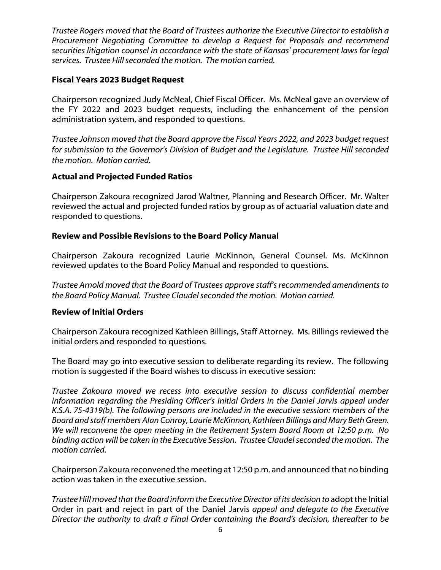*Trustee Rogers moved that the Board of Trustees authorize the Executive Director to establish a Procurement Negotiating Committee to develop a Request for Proposals and recommend securities litigation counsel in accordance with the state of Kansas' procurement laws for legal services. Trustee Hill seconded the motion. The motion carried.*

# **Fiscal Years 2023 Budget Request**

Chairperson recognized Judy McNeal, Chief Fiscal Officer. Ms. McNeal gave an overview of the FY 2022 and 2023 budget requests, including the enhancement of the pension administration system, and responded to questions.

*Trustee Johnson moved that the Board approve the Fiscal Years 2022, and 2023 budget request for submission to the Governor's Division* of *Budget and the Legislature. Trustee Hill seconded the motion. Motion carried.*

# **Actual and Projected Funded Ratios**

Chairperson Zakoura recognized Jarod Waltner, Planning and Research Officer. Mr. Walter reviewed the actual and projected funded ratios by group as of actuarial valuation date and responded to questions.

# **Review and Possible Revisions to the Board Policy Manual**

Chairperson Zakoura recognized Laurie McKinnon, General Counsel. Ms. McKinnon reviewed updates to the Board Policy Manual and responded to questions.

*Trustee Arnold moved that the Board of Trustees approve staff's recommended amendments to the Board Policy Manual. Trustee Claudelseconded the motion. Motion carried.*

# **Review of Initial Orders**

Chairperson Zakoura recognized Kathleen Billings, Staff Attorney. Ms. Billings reviewed the initial orders and responded to questions.

The Board may go into executive session to deliberate regarding its review. The following motion is suggested if the Board wishes to discuss in executive session:

*Trustee Zakoura moved we recess into executive session to discuss confidential member information regarding the Presiding Officer's Initial Orders in the Daniel Jarvis appeal under K.S.A. 75-4319(b). The following persons are included in the executive session: members of the Board and staff members Alan Conroy, Laurie McKinnon, Kathleen Billings and Mary BethGreen. We will reconvene the open meeting in the Retirement System Board Room at 12:50 p.m. No binding action will be taken in the Executive Session. Trustee Claudel seconded the motion. The motion carried.*

Chairperson Zakoura reconvened the meeting at 12:50 p.m. and announced that no binding action was taken in the executive session.

*Trustee Hill moved that the Board inform the Executive Director of its decision to* adopt the Initial Order in part and reject in part of the Daniel Jarvis *appeal and delegate to the Executive Director the authority to draft a Final Order containing the Board's decision, thereafter to be*